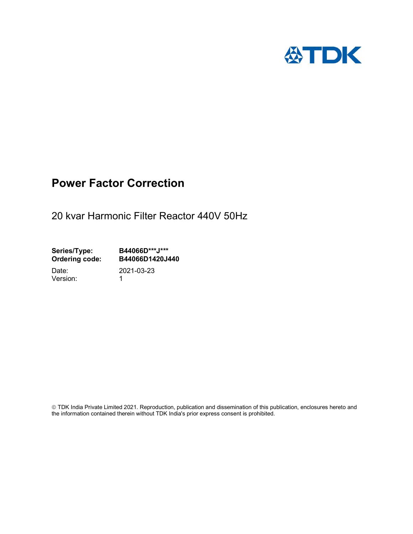

## Power Factor Correction

20 kvar Harmonic Filter Reactor 440V 50Hz

Series/Type: B44066D\*\*\*J\*\*\* Ordering code: B44066D1420J440

Version: 1

Date: 2021-03-23

 TDK India Private Limited 2021. Reproduction, publication and dissemination of this publication, enclosures hereto and the information contained therein without TDK India's prior express consent is prohibited.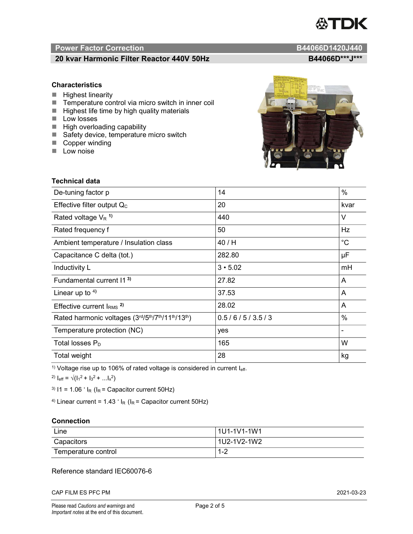# **ASTDK**

### Power Factor Correction and Content of Content of Content of Content of Content of Content of Content of Content of Content of Content of Content of Content of Content of Content of Content of Content of Content of Content

### 20 kvar Harmonic Filter Reactor 440V 50Hz B44066D\*\*\*J\*\*\*

### **Characteristics**

- $\blacksquare$  Highest linearity
- Temperature control via micro switch in inner coil
- $\blacksquare$  Highest life time by high quality materials
- **Low** losses
- $\blacksquare$  High overloading capability
- Safety device, temperature micro switch
- Copper winding
- **Low noise**

Technical data

| De-tuning factor p                              | 14             | $\%$        |
|-------------------------------------------------|----------------|-------------|
| Effective filter output $Q_C$                   | 20             | kvar        |
| Rated voltage $V_R$ <sup>1)</sup>               | 440            | V           |
| Rated frequency f                               | 50             | Hz          |
| Ambient temperature / Insulation class          | 40/H           | $^{\circ}C$ |
| Capacitance C delta (tot.)                      | 282.80         | μF          |
| Inductivity L                                   | $3 \cdot 5.02$ | mH          |
| Fundamental current 11 <sup>3)</sup>            | 27.82          | A           |
| Linear up to 4)                                 | 37.53          | A           |
| Effective current $IRMS$ <sup>2)</sup>          | 28.02          | A           |
| Rated harmonic voltages (3rd/5th/7th/11th/13th) | 0.5/6/5/3.5/3  | $\%$        |
| Temperature protection (NC)                     | yes            |             |
| Total losses $\mathsf{P}_\mathsf{D}$            | 165            | W           |
| Total weight                                    | 28             | kg          |

<sup>1)</sup> Voltage rise up to 106% of rated voltage is considered in current  $I_{\text{eff}}$ .

<sup>2)</sup>  $I_{eff} = \sqrt{(I_1^2 + I_3^2 + ... I_x^2)}$ 

<sup>3)</sup>  $11 = 1.06$   $\cdot$   $I_R$  ( $I_R$  = Capacitor current 50Hz)

<sup>4)</sup> Linear current =  $1.43$   $\cdot$  I<sub>R</sub> (I<sub>R</sub> = Capacitor current 50Hz)

### **Connection**

| Line                | l 1U1-1V1-1W1 |
|---------------------|---------------|
| Capacitors          | l 1U2-1V2-1W2 |
| Temperature control | 1 O<br>ے- ا   |

### Reference standard IEC60076-6

CAP FILM ES PFC PM 2021-03-23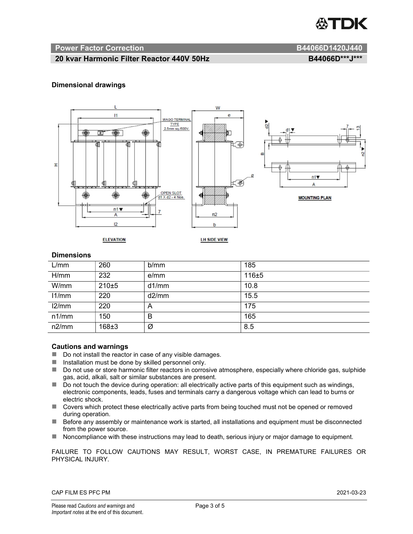

### Power Factor Correction and B44066D1420J440

### 20 kvar Harmonic Filter Reactor 440V 50Hz B44066D\*\*\*J\*\*\*

### Dimensional drawings



### **Dimensions**

| L/mm  | 260     | b/mm  | 185   |
|-------|---------|-------|-------|
| H/mm  | 232     | e/mm  | 116±5 |
| W/mm  | $210+5$ | d1/mm | 10.8  |
| 11/mm | 220     | d2/mm | 15.5  |
| 12/mm | 220     | A     | 175   |
| n1/mm | 150     | B     | 165   |
| n2/mm | 168±3   | Ø     | 8.5   |

### Cautions and warnings

- Do not install the reactor in case of any visible damages.
- $\blacksquare$  Installation must be done by skilled personnel only.
- Do not use or store harmonic filter reactors in corrosive atmosphere, especially where chloride gas, sulphide gas, acid, alkali, salt or similar substances are present.
- $\Box$  Do not touch the device during operation: all electrically active parts of this equipment such as windings, electronic components, leads, fuses and terminals carry a dangerous voltage which can lead to burns or electric shock.
- Covers which protect these electrically active parts from being touched must not be opened or removed during operation.
- Before any assembly or maintenance work is started, all installations and equipment must be disconnected from the power source.
- Noncompliance with these instructions may lead to death, serious injury or major damage to equipment.

FAILURE TO FOLLOW CAUTIONS MAY RESULT, WORST CASE, IN PREMATURE FAILURES OR PHYSICAL INJURY.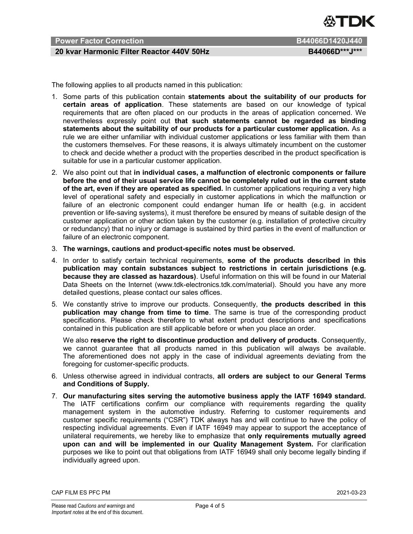

### Power Factor Correction **B44066D1420J440**

### 20 kvar Harmonic Filter Reactor 440V 50Hz B44066D\*\*\*J\*\*\*

The following applies to all products named in this publication:

- 1. Some parts of this publication contain statements about the suitability of our products for certain areas of application. These statements are based on our knowledge of typical requirements that are often placed on our products in the areas of application concerned. We nevertheless expressly point out that such statements cannot be regarded as binding statements about the suitability of our products for a particular customer application. As a rule we are either unfamiliar with individual customer applications or less familiar with them than the customers themselves. For these reasons, it is always ultimately incumbent on the customer to check and decide whether a product with the properties described in the product specification is suitable for use in a particular customer application.
- 2. We also point out that in individual cases, a malfunction of electronic components or failure before the end of their usual service life cannot be completely ruled out in the current state of the art, even if they are operated as specified. In customer applications requiring a very high level of operational safety and especially in customer applications in which the malfunction or failure of an electronic component could endanger human life or health (e.g. in accident prevention or life-saving systems), it must therefore be ensured by means of suitable design of the customer application or other action taken by the customer (e.g. installation of protective circuitry or redundancy) that no injury or damage is sustained by third parties in the event of malfunction or failure of an electronic component.
- 3. The warnings, cautions and product-specific notes must be observed.
- 4. In order to satisfy certain technical requirements, some of the products described in this publication may contain substances subject to restrictions in certain jurisdictions (e.g. because they are classed as hazardous). Useful information on this will be found in our Material Data Sheets on the Internet (www.tdk-electronics.tdk.com/material). Should you have any more detailed questions, please contact our sales offices.
- 5. We constantly strive to improve our products. Consequently, the products described in this publication may change from time to time. The same is true of the corresponding product specifications. Please check therefore to what extent product descriptions and specifications contained in this publication are still applicable before or when you place an order.

We also reserve the right to discontinue production and delivery of products. Consequently, we cannot guarantee that all products named in this publication will always be available. The aforementioned does not apply in the case of individual agreements deviating from the foregoing for customer-specific products.

- 6. Unless otherwise agreed in individual contracts, all orders are subject to our General Terms and Conditions of Supply.
- 7. Our manufacturing sites serving the automotive business apply the IATF 16949 standard. The IATF certifications confirm our compliance with requirements regarding the quality management system in the automotive industry. Referring to customer requirements and customer specific requirements ("CSR") TDK always has and will continue to have the policy of respecting individual agreements. Even if IATF 16949 may appear to support the acceptance of unilateral requirements, we hereby like to emphasize that only requirements mutually agreed upon can and will be implemented in our Quality Management System. For clarification purposes we like to point out that obligations from IATF 16949 shall only become legally binding if individually agreed upon.